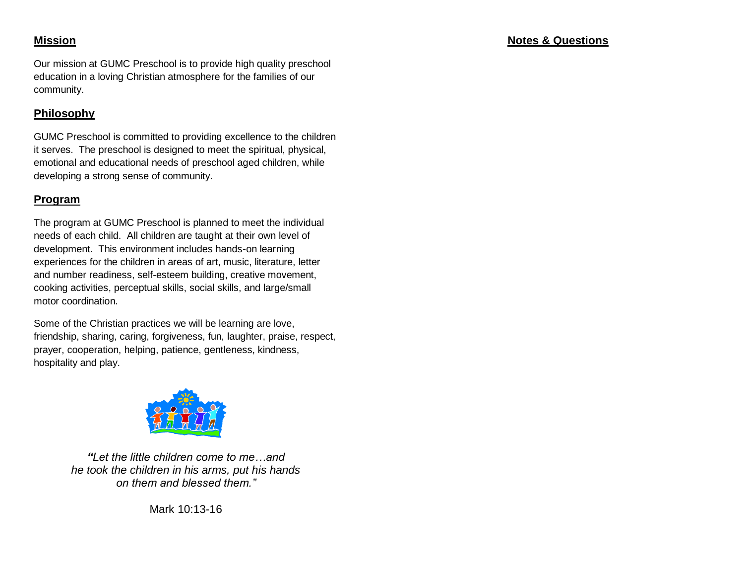Our mission at GUMC Preschool is to provide high quality preschool education in a loving Christian atmosphere for the families of our community.

# **Philosophy**

GUMC Preschool is committed to providing excellence to the children it serves. The preschool is designed to meet the spiritual, physical, emotional and educational needs of preschool aged children, while developing a strong sense of community.

# **Program**

The program at GUMC Preschool is planned to meet the individual needs of each child. All children are taught at their own level of development. This environment includes hands-on learning experiences for the children in areas of art, music, literature, letter and number readiness, self-esteem building, creative movement, cooking activities, perceptual skills, social skills, and large/small motor coordination.

Some of the Christian practices we will be learning are love, friendship, sharing, caring, forgiveness, fun, laughter, praise, respect, prayer, cooperation, helping, patience, gentleness, kindness, hospitality and play.



*"Let the little children come to me…and he took the children in his arms, put his hands on them and blessed them."*

Mark 10:13-16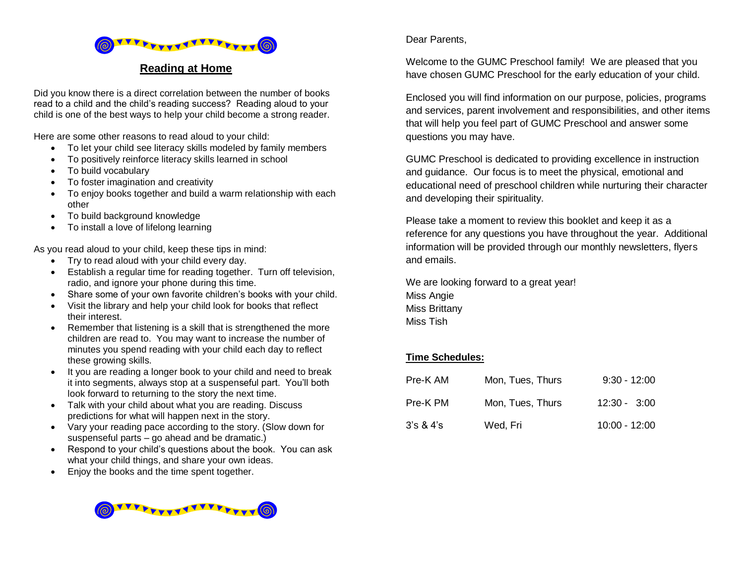

#### **Reading at Home**

Did you know there is a direct correlation between the number of books read to a child and the child's reading success? Reading aloud to your child is one of the best ways to help your child become a strong reader.

Here are some other reasons to read aloud to your child:

- To let your child see literacy skills modeled by family members
- To positively reinforce literacy skills learned in school
- To build vocabulary
- To foster imagination and creativity
- To enjoy books together and build a warm relationship with each other
- To build background knowledge
- To install a love of lifelong learning

As you read aloud to your child, keep these tips in mind:

- Try to read aloud with your child every day.
- Establish a regular time for reading together. Turn off television, radio, and ignore your phone during this time.
- Share some of your own favorite children's books with your child.
- Visit the library and help your child look for books that reflect their interest.
- Remember that listening is a skill that is strengthened the more children are read to. You may want to increase the number of minutes you spend reading with your child each day to reflect these growing skills.
- It you are reading a longer book to your child and need to break it into segments, always stop at a suspenseful part. You'll both look forward to returning to the story the next time.
- Talk with your child about what you are reading. Discuss predictions for what will happen next in the story.
- Vary your reading pace according to the story. (Slow down for suspenseful parts – go ahead and be dramatic.)
- Respond to your child's questions about the book. You can ask what your child things, and share your own ideas.
- Enjoy the books and the time spent together.



#### Dear Parents,

Welcome to the GUMC Preschool family! We are pleased that you have chosen GUMC Preschool for the early education of your child.

Enclosed you will find information on our purpose, policies, programs and services, parent involvement and responsibilities, and other items that will help you feel part of GUMC Preschool and answer some questions you may have.

GUMC Preschool is dedicated to providing excellence in instruction and guidance. Our focus is to meet the physical, emotional and educational need of preschool children while nurturing their character and developing their spirituality.

Please take a moment to review this booklet and keep it as a reference for any questions you have throughout the year. Additional information will be provided through our monthly newsletters, flyers and emails.

We are looking forward to a great year! Miss Angie Miss Brittany Miss Tish

#### **Time Schedules:**

| Pre-K AM | Mon, Tues, Thurs | $9:30 - 12:00$  |
|----------|------------------|-----------------|
| Pre-K PM | Mon, Tues, Thurs | $12:30 - 3:00$  |
| 3's 84's | Wed, Fri         | $10:00 - 12:00$ |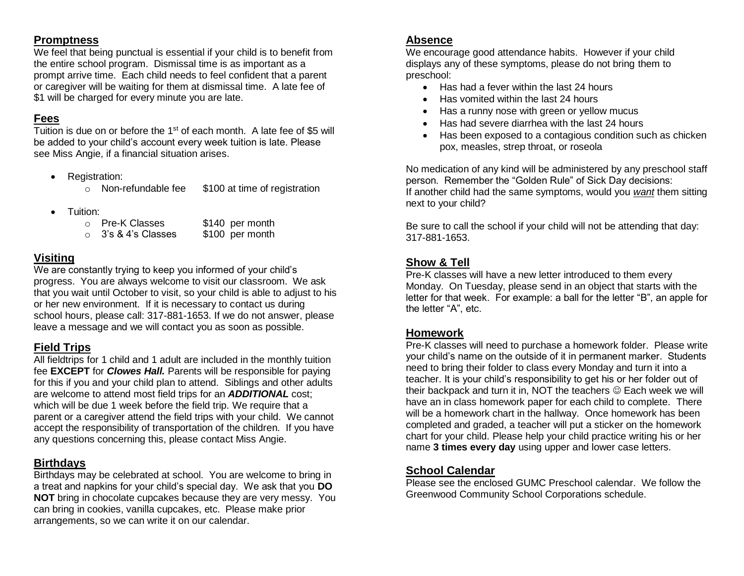#### **Promptness**

We feel that being punctual is essential if your child is to benefit from the entire school program. Dismissal time is as important as a prompt arrive time. Each child needs to feel confident that a parent or caregiver will be waiting for them at dismissal time. A late fee of \$1 will be charged for every minute you are late.

## **Fees**

Tuition is due on or before the 1<sup>st</sup> of each month. A late fee of \$5 will be added to your child's account every week tuition is late. Please see Miss Angie, if a financial situation arises.

• Registration:

o Non-refundable fee \$100 at time of registration

- **•** Tuition:
	- o Pre-K Classes \$140 per month  $\circ$  3's & 4's Classes \$100 per month

## **Visiting**

We are constantly trying to keep you informed of your child's progress. You are always welcome to visit our classroom. We ask that you wait until October to visit, so your child is able to adjust to his or her new environment. If it is necessary to contact us during school hours, please call: 317-881-1653. If we do not answer, please leave a message and we will contact you as soon as possible.

# **Field Trips**

All fieldtrips for 1 child and 1 adult are included in the monthly tuition fee **EXCEPT** for *Clowes Hall.* Parents will be responsible for paying for this if you and your child plan to attend. Siblings and other adults are welcome to attend most field trips for an *ADDITIONAL* cost; which will be due 1 week before the field trip. We require that a parent or a caregiver attend the field trips with your child. We cannot accept the responsibility of transportation of the children. If you have any questions concerning this, please contact Miss Angie.

# **Birthdays**

Birthdays may be celebrated at school. You are welcome to bring in a treat and napkins for your child's special day. We ask that you **DO NOT** bring in chocolate cupcakes because they are very messy. You can bring in cookies, vanilla cupcakes, etc. Please make prior arrangements, so we can write it on our calendar.

## **Absence**

We encourage good attendance habits. However if your child displays any of these symptoms, please do not bring them to preschool:

- Has had a fever within the last 24 hours
- Has vomited within the last 24 hours
- Has a runny nose with green or yellow mucus
- Has had severe diarrhea with the last 24 hours
- Has been exposed to a contagious condition such as chicken pox, measles, strep throat, or roseola

No medication of any kind will be administered by any preschool staff person. Remember the "Golden Rule" of Sick Day decisions: If another child had the same symptoms, would you *want* them sitting next to your child?

Be sure to call the school if your child will not be attending that day: 317-881-1653.

# **Show & Tell**

Pre-K classes will have a new letter introduced to them every Monday. On Tuesday, please send in an object that starts with the letter for that week. For example: a ball for the letter "B", an apple for the letter "A", etc.

## **Homework**

Pre-K classes will need to purchase a homework folder. Please write your child's name on the outside of it in permanent marker. Students need to bring their folder to class every Monday and turn it into a teacher. It is your child's responsibility to get his or her folder out of their backpack and turn it in, NOT the teachers  $\odot$  Each week we will have an in class homework paper for each child to complete. There will be a homework chart in the hallway. Once homework has been completed and graded, a teacher will put a sticker on the homework chart for your child. Please help your child practice writing his or her name **3 times every day** using upper and lower case letters.

## **School Calendar**

Please see the enclosed GUMC Preschool calendar. We follow the Greenwood Community School Corporations schedule.